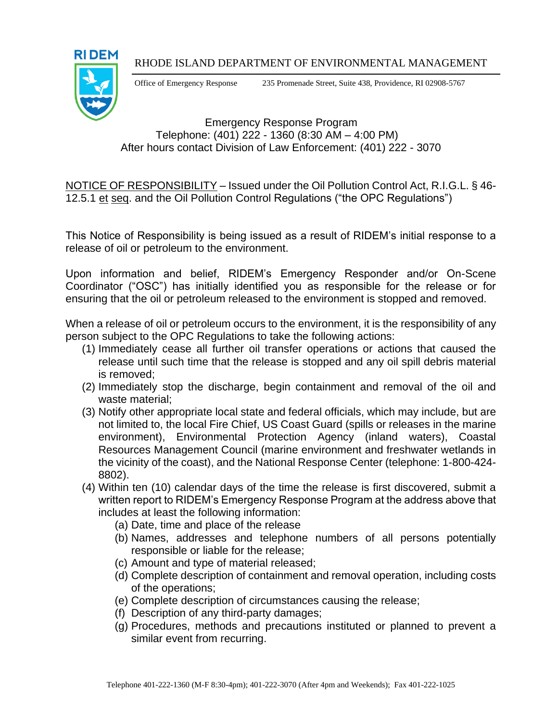### RHODE ISLAND DEPARTMENT OF ENVIRONMENTAL MANAGEMENT



Office of Emergency Response 235 Promenade Street, Suite 438, Providence, RI 02908-5767

# Emergency Response Program Telephone: (401) 222 - 1360 (8:30 AM – 4:00 PM) After hours contact Division of Law Enforcement: (401) 222 - 3070

NOTICE OF RESPONSIBILITY – Issued under the Oil Pollution Control Act, R.I.G.L. § 46- 12.5.1 et seq. and the Oil Pollution Control Regulations ("the OPC Regulations")

This Notice of Responsibility is being issued as a result of RIDEM's initial response to a release of oil or petroleum to the environment.

Upon information and belief, RIDEM's Emergency Responder and/or On-Scene Coordinator ("OSC") has initially identified you as responsible for the release or for ensuring that the oil or petroleum released to the environment is stopped and removed.

When a release of oil or petroleum occurs to the environment, it is the responsibility of any person subject to the OPC Regulations to take the following actions:

- (1) Immediately cease all further oil transfer operations or actions that caused the release until such time that the release is stopped and any oil spill debris material is removed;
- (2) Immediately stop the discharge, begin containment and removal of the oil and waste material;
- (3) Notify other appropriate local state and federal officials, which may include, but are not limited to, the local Fire Chief, US Coast Guard (spills or releases in the marine environment), Environmental Protection Agency (inland waters), Coastal Resources Management Council (marine environment and freshwater wetlands in the vicinity of the coast), and the National Response Center (telephone: 1-800-424- 8802).
- (4) Within ten (10) calendar days of the time the release is first discovered, submit a written report to RIDEM's Emergency Response Program at the address above that includes at least the following information:
	- (a) Date, time and place of the release
	- (b) Names, addresses and telephone numbers of all persons potentially responsible or liable for the release;
	- (c) Amount and type of material released;
	- (d) Complete description of containment and removal operation, including costs of the operations;
	- (e) Complete description of circumstances causing the release;
	- (f) Description of any third-party damages;
	- (g) Procedures, methods and precautions instituted or planned to prevent a similar event from recurring.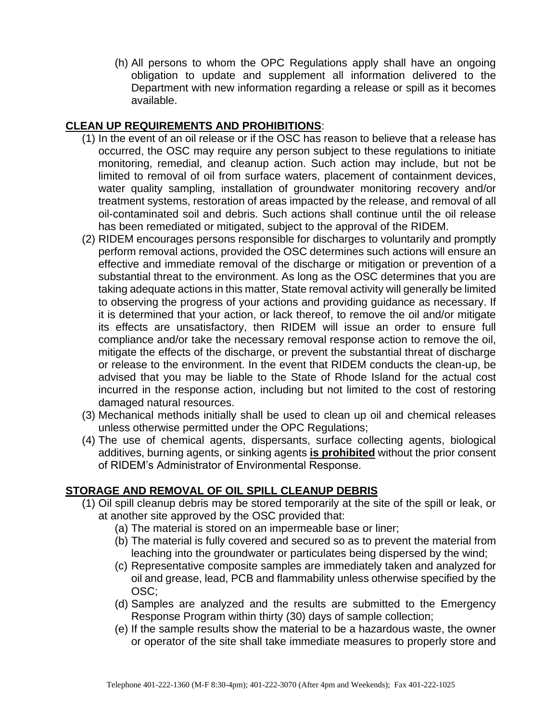(h) All persons to whom the OPC Regulations apply shall have an ongoing obligation to update and supplement all information delivered to the Department with new information regarding a release or spill as it becomes available.

## **CLEAN UP REQUIREMENTS AND PROHIBITIONS**:

- (1) In the event of an oil release or if the OSC has reason to believe that a release has occurred, the OSC may require any person subject to these regulations to initiate monitoring, remedial, and cleanup action. Such action may include, but not be limited to removal of oil from surface waters, placement of containment devices, water quality sampling, installation of groundwater monitoring recovery and/or treatment systems, restoration of areas impacted by the release, and removal of all oil-contaminated soil and debris. Such actions shall continue until the oil release has been remediated or mitigated, subject to the approval of the RIDEM.
- (2) RIDEM encourages persons responsible for discharges to voluntarily and promptly perform removal actions, provided the OSC determines such actions will ensure an effective and immediate removal of the discharge or mitigation or prevention of a substantial threat to the environment. As long as the OSC determines that you are taking adequate actions in this matter, State removal activity will generally be limited to observing the progress of your actions and providing guidance as necessary. If it is determined that your action, or lack thereof, to remove the oil and/or mitigate its effects are unsatisfactory, then RIDEM will issue an order to ensure full compliance and/or take the necessary removal response action to remove the oil, mitigate the effects of the discharge, or prevent the substantial threat of discharge or release to the environment. In the event that RIDEM conducts the clean-up, be advised that you may be liable to the State of Rhode Island for the actual cost incurred in the response action, including but not limited to the cost of restoring damaged natural resources.
- (3) Mechanical methods initially shall be used to clean up oil and chemical releases unless otherwise permitted under the OPC Regulations;
- (4) The use of chemical agents, dispersants, surface collecting agents, biological additives, burning agents, or sinking agents **is prohibited** without the prior consent of RIDEM's Administrator of Environmental Response.

# **STORAGE AND REMOVAL OF OIL SPILL CLEANUP DEBRIS**

- (1) Oil spill cleanup debris may be stored temporarily at the site of the spill or leak, or at another site approved by the OSC provided that:
	- (a) The material is stored on an impermeable base or liner;
	- (b) The material is fully covered and secured so as to prevent the material from leaching into the groundwater or particulates being dispersed by the wind;
	- (c) Representative composite samples are immediately taken and analyzed for oil and grease, lead, PCB and flammability unless otherwise specified by the OSC;
	- (d) Samples are analyzed and the results are submitted to the Emergency Response Program within thirty (30) days of sample collection;
	- (e) If the sample results show the material to be a hazardous waste, the owner or operator of the site shall take immediate measures to properly store and